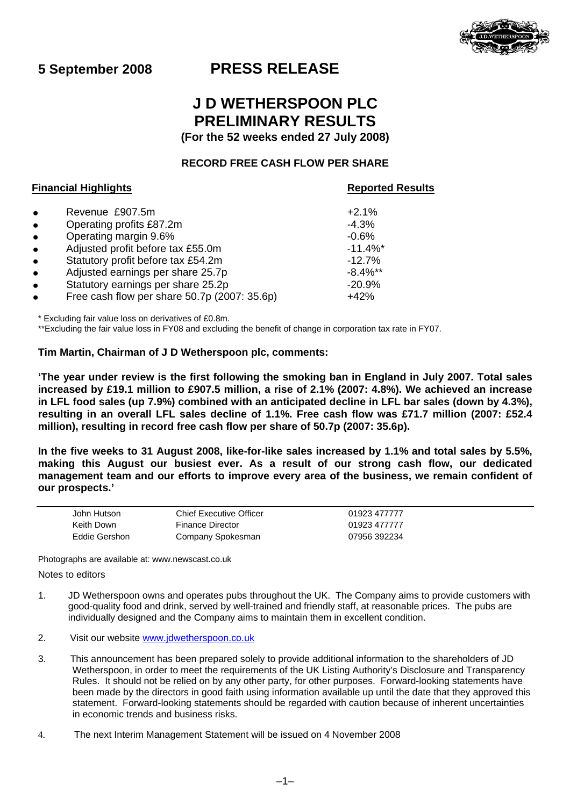

# **5 September 2008 PRESS RELEASE**

# **J D WETHERSPOON PLC PRELIMINARY RESULTS (For the 52 weeks ended 27 July 2008)**

# **RECORD FREE CASH FLOW PER SHARE**

# **Financial Highlights Reported Results**

| $\bullet$<br>$\bullet$<br>$\bullet$<br>$\bullet$<br>$\bullet$<br>$\bullet$ | Revenue £907.5m<br>Operating profits £87.2m<br>Operating margin 9.6%<br>Adjusted profit before tax £55.0m<br>Statutory profit before tax £54.2m<br>Adjusted earnings per share 25.7p<br>Statutory earnings per share 25.2p | $+2.1%$<br>$-4.3%$<br>$-0.6%$<br>$-11.4%$<br>$-12.7%$<br>$-8.4\%$ **<br>$-20.9%$ |
|----------------------------------------------------------------------------|----------------------------------------------------------------------------------------------------------------------------------------------------------------------------------------------------------------------------|----------------------------------------------------------------------------------|
| $\bullet$<br>$\bullet$                                                     | Free cash flow per share 50.7p (2007: 35.6p)                                                                                                                                                                               | $+42%$                                                                           |

\* Excluding fair value loss on derivatives of £0.8m.

\*\*Excluding the fair value loss in FY08 and excluding the benefit of change in corporation tax rate in FY07.

## **Tim Martin, Chairman of J D Wetherspoon plc, comments:**

**'The year under review is the first following the smoking ban in England in July 2007. Total sales increased by £19.1 million to £907.5 million, a rise of 2.1% (2007: 4.8%). We achieved an increase in LFL food sales (up 7.9%) combined with an anticipated decline in LFL bar sales (down by 4.3%), resulting in an overall LFL sales decline of 1.1%. Free cash flow was £71.7 million (2007: £52.4 million), resulting in record free cash flow per share of 50.7p (2007: 35.6p).** 

**In the five weeks to 31 August 2008, like-for-like sales increased by 1.1% and total sales by 5.5%, making this August our busiest ever. As a result of our strong cash flow, our dedicated management team and our efforts to improve every area of the business, we remain confident of our prospects.'** 

| John Hutson   | Chief Executive Officer | 01923 477777 |
|---------------|-------------------------|--------------|
| Keith Down    | <b>Finance Director</b> | 01923 477777 |
| Eddie Gershon | Company Spokesman       | 07956 392234 |

Photographs are available at: www.newscast.co.uk

Notes to editors

- 1. JD Wetherspoon owns and operates pubs throughout the UK. The Company aims to provide customers with good-quality food and drink, served by well-trained and friendly staff, at reasonable prices. The pubs are individually designed and the Company aims to maintain them in excellent condition.
- 2. Visit our website [www.jdwetherspoon.co.uk](http://www.jdwetherspoon.co.uk/)
- 3. This announcement has been prepared solely to provide additional information to the shareholders of JD Wetherspoon, in order to meet the requirements of the UK Listing Authority's Disclosure and Transparency Rules. It should not be relied on by any other party, for other purposes. Forward-looking statements have been made by the directors in good faith using information available up until the date that they approved this statement. Forward-looking statements should be regarded with caution because of inherent uncertainties in economic trends and business risks.
- 4. The next Interim Management Statement will be issued on 4 November 2008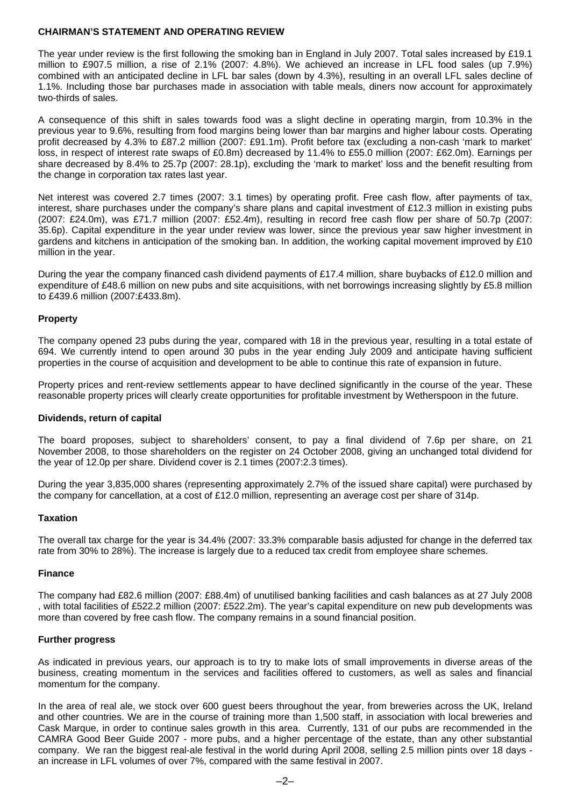### **CHAIRMAN'S STATEMENT AND OPERATING REVIEW**

The year under review is the first following the smoking ban in England in July 2007. Total sales increased by £19.1 million to £907.5 million, a rise of 2.1% (2007: 4.8%). We achieved an increase in LFL food sales (up 7.9%) combined with an anticipated decline in LFL bar sales (down by 4.3%), resulting in an overall LFL sales decline of 1.1%. Including those bar purchases made in association with table meals, diners now account for approximately two-thirds of sales.

A consequence of this shift in sales towards food was a slight decline in operating margin, from 10.3% in the previous year to 9.6%, resulting from food margins being lower than bar margins and higher labour costs. Operating profit decreased by 4.3% to £87.2 million (2007: £91.1m). Profit before tax (excluding a non-cash 'mark to market' loss, in respect of interest rate swaps of £0.8m) decreased by 11.4% to £55.0 million (2007: £62.0m). Earnings per share decreased by 8.4% to 25.7p (2007: 28.1p), excluding the 'mark to market' loss and the benefit resulting from the change in corporation tax rates last year.

Net interest was covered 2.7 times (2007: 3.1 times) by operating profit. Free cash flow, after payments of tax, interest, share purchases under the company's share plans and capital investment of £12.3 million in existing pubs (2007: £24.0m), was £71.7 million (2007: £52.4m), resulting in record free cash flow per share of 50.7p (2007: 35.6p). Capital expenditure in the year under review was lower, since the previous year saw higher investment in gardens and kitchens in anticipation of the smoking ban. In addition, the working capital movement improved by £10 million in the year.

During the year the company financed cash dividend payments of £17.4 million, share buybacks of £12.0 million and expenditure of £48.6 million on new pubs and site acquisitions, with net borrowings increasing slightly by £5.8 million to £439.6 million (2007:£433.8m).

#### **Property**

The company opened 23 pubs during the year, compared with 18 in the previous year, resulting in a total estate of 694. We currently intend to open around 30 pubs in the year ending July 2009 and anticipate having sufficient properties in the course of acquisition and development to be able to continue this rate of expansion in future.

Property prices and rent-review settlements appear to have declined significantly in the course of the year. These reasonable property prices will clearly create opportunities for profitable investment by Wetherspoon in the future.

#### **Dividends, return of capital**

The board proposes, subject to shareholders' consent, to pay a final dividend of 7.6p per share, on 21 November 2008, to those shareholders on the register on 24 October 2008, giving an unchanged total dividend for the year of 12.0p per share. Dividend cover is 2.1 times (2007:2.3 times).

During the year 3,835,000 shares (representing approximately 2.7% of the issued share capital) were purchased by the company for cancellation, at a cost of £12.0 million, representing an average cost per share of 314p.

#### **Taxation**

The overall tax charge for the year is 34.4% (2007: 33.3% comparable basis adjusted for change in the deferred tax rate from 30% to 28%). The increase is largely due to a reduced tax credit from employee share schemes.

#### **Finance**

The company had £82.6 million (2007: £88.4m) of unutilised banking facilities and cash balances as at 27 July 2008 , with total facilities of £522.2 million (2007: £522.2m). The year's capital expenditure on new pub developments was more than covered by free cash flow. The company remains in a sound financial position.

#### **Further progress**

As indicated in previous years, our approach is to try to make lots of small improvements in diverse areas of the business, creating momentum in the services and facilities offered to customers, as well as sales and financial momentum for the company.

In the area of real ale, we stock over 600 guest beers throughout the year, from breweries across the UK, Ireland and other countries. We are in the course of training more than 1,500 staff, in association with local breweries and Cask Marque, in order to continue sales growth in this area. Currently, 131 of our pubs are recommended in the CAMRA Good Beer Guide 2007 - more pubs, and a higher percentage of the estate, than any other substantial company. We ran the biggest real-ale festival in the world during April 2008, selling 2.5 million pints over 18 days an increase in LFL volumes of over 7%, compared with the same festival in 2007.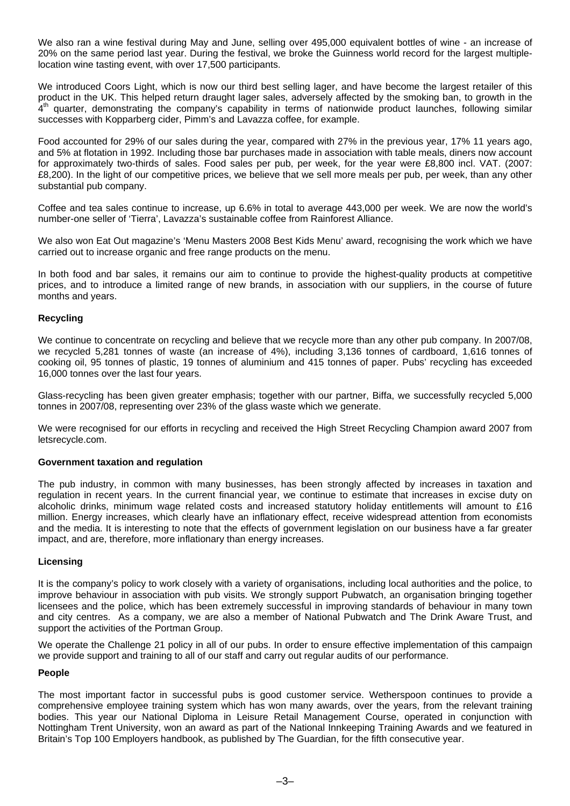We also ran a wine festival during May and June, selling over 495,000 equivalent bottles of wine - an increase of 20% on the same period last year. During the festival, we broke the Guinness world record for the largest multiplelocation wine tasting event, with over 17,500 participants.

We introduced Coors Light, which is now our third best selling lager, and have become the largest retailer of this product in the UK. This helped return draught lager sales, adversely affected by the smoking ban, to growth in the  $4<sup>th</sup>$  quarter, demonstrating the company's capability in terms of nationwide product launches, following similar successes with Kopparberg cider, Pimm's and Lavazza coffee, for example.

Food accounted for 29% of our sales during the year, compared with 27% in the previous year, 17% 11 years ago, and 5% at flotation in 1992. Including those bar purchases made in association with table meals, diners now account for approximately two-thirds of sales. Food sales per pub, per week, for the year were £8,800 incl. VAT. (2007: £8,200). In the light of our competitive prices, we believe that we sell more meals per pub, per week, than any other substantial pub company.

Coffee and tea sales continue to increase, up 6.6% in total to average 443,000 per week. We are now the world's number-one seller of 'Tierra', Lavazza's sustainable coffee from Rainforest Alliance.

We also won Eat Out magazine's 'Menu Masters 2008 Best Kids Menu' award, recognising the work which we have carried out to increase organic and free range products on the menu.

In both food and bar sales, it remains our aim to continue to provide the highest-quality products at competitive prices, and to introduce a limited range of new brands, in association with our suppliers, in the course of future months and years.

#### **Recycling**

We continue to concentrate on recycling and believe that we recycle more than any other pub company. In 2007/08, we recycled 5,281 tonnes of waste (an increase of 4%), including 3,136 tonnes of cardboard, 1,616 tonnes of cooking oil, 95 tonnes of plastic, 19 tonnes of aluminium and 415 tonnes of paper. Pubs' recycling has exceeded 16,000 tonnes over the last four years.

Glass-recycling has been given greater emphasis; together with our partner, Biffa, we successfully recycled 5,000 tonnes in 2007/08, representing over 23% of the glass waste which we generate.

We were recognised for our efforts in recycling and received the High Street Recycling Champion award 2007 from letsrecycle.com.

#### **Government taxation and regulation**

The pub industry, in common with many businesses, has been strongly affected by increases in taxation and regulation in recent years. In the current financial year, we continue to estimate that increases in excise duty on alcoholic drinks, minimum wage related costs and increased statutory holiday entitlements will amount to £16 million. Energy increases, which clearly have an inflationary effect, receive widespread attention from economists and the media. It is interesting to note that the effects of government legislation on our business have a far greater impact, and are, therefore, more inflationary than energy increases.

#### **Licensing**

It is the company's policy to work closely with a variety of organisations, including local authorities and the police, to improve behaviour in association with pub visits. We strongly support Pubwatch, an organisation bringing together licensees and the police, which has been extremely successful in improving standards of behaviour in many town and city centres. As a company, we are also a member of National Pubwatch and The Drink Aware Trust, and support the activities of the Portman Group.

We operate the Challenge 21 policy in all of our pubs. In order to ensure effective implementation of this campaign we provide support and training to all of our staff and carry out regular audits of our performance.

#### **People**

The most important factor in successful pubs is good customer service. Wetherspoon continues to provide a comprehensive employee training system which has won many awards, over the years, from the relevant training bodies. This year our National Diploma in Leisure Retail Management Course, operated in conjunction with Nottingham Trent University, won an award as part of the National Innkeeping Training Awards and we featured in Britain's Top 100 Employers handbook, as published by The Guardian, for the fifth consecutive year.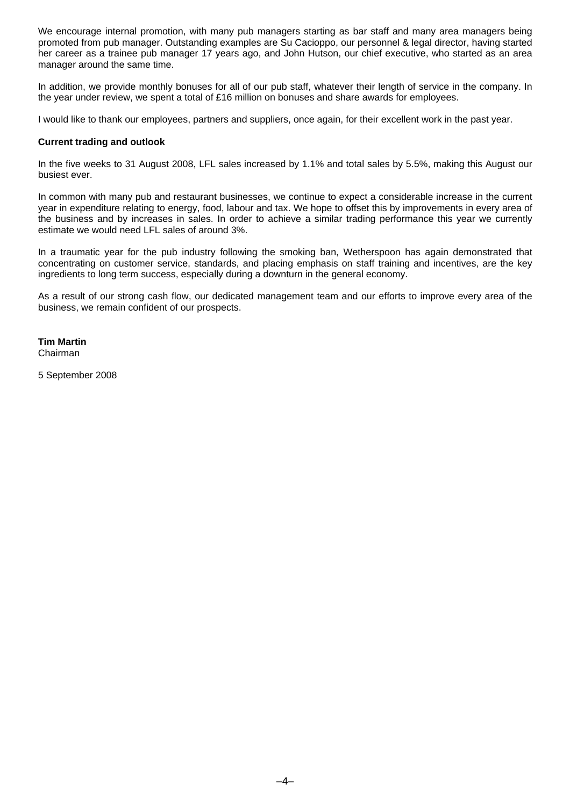We encourage internal promotion, with many pub managers starting as bar staff and many area managers being promoted from pub manager. Outstanding examples are Su Cacioppo, our personnel & legal director, having started her career as a trainee pub manager 17 years ago, and John Hutson, our chief executive, who started as an area manager around the same time.

In addition, we provide monthly bonuses for all of our pub staff, whatever their length of service in the company. In the year under review, we spent a total of £16 million on bonuses and share awards for employees.

I would like to thank our employees, partners and suppliers, once again, for their excellent work in the past year.

#### **Current trading and outlook**

In the five weeks to 31 August 2008, LFL sales increased by 1.1% and total sales by 5.5%, making this August our busiest ever.

In common with many pub and restaurant businesses, we continue to expect a considerable increase in the current year in expenditure relating to energy, food, labour and tax. We hope to offset this by improvements in every area of the business and by increases in sales. In order to achieve a similar trading performance this year we currently estimate we would need LFL sales of around 3%.

In a traumatic year for the pub industry following the smoking ban, Wetherspoon has again demonstrated that concentrating on customer service, standards, and placing emphasis on staff training and incentives, are the key ingredients to long term success, especially during a downturn in the general economy.

As a result of our strong cash flow, our dedicated management team and our efforts to improve every area of the business, we remain confident of our prospects.

**Tim Martin**  Chairman

5 September 2008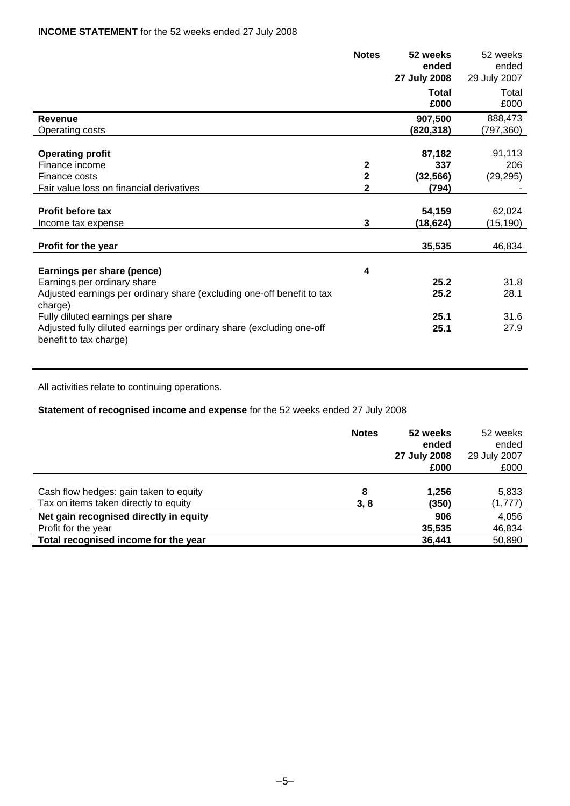|                                                                                                 | <b>Notes</b>            | 52 weeks<br>ended<br>27 July 2008 | 52 weeks<br>ended<br>29 July 2007 |
|-------------------------------------------------------------------------------------------------|-------------------------|-----------------------------------|-----------------------------------|
|                                                                                                 |                         | <b>Total</b><br>£000              | Total<br>£000                     |
| Revenue                                                                                         |                         | 907,500                           | 888,473                           |
| Operating costs                                                                                 |                         | (820,318)                         | (797,360)                         |
|                                                                                                 |                         |                                   |                                   |
| <b>Operating profit</b>                                                                         |                         | 87,182                            | 91,113                            |
| Finance income                                                                                  | $\overline{\mathbf{2}}$ | 337                               | 206                               |
| Finance costs                                                                                   | $\overline{2}$          | (32, 566)                         | (29, 295)                         |
| Fair value loss on financial derivatives                                                        | $\mathbf 2$             | (794)                             |                                   |
|                                                                                                 |                         |                                   |                                   |
| <b>Profit before tax</b>                                                                        |                         | 54,159                            | 62,024                            |
| Income tax expense                                                                              | $\mathbf 3$             | (18, 624)                         | (15,190)                          |
| Profit for the year                                                                             |                         | 35,535                            | 46,834                            |
| Earnings per share (pence)                                                                      | 4                       |                                   |                                   |
| Earnings per ordinary share                                                                     |                         | 25.2                              | 31.8                              |
| Adjusted earnings per ordinary share (excluding one-off benefit to tax<br>charge)               |                         | 25.2                              | 28.1                              |
| Fully diluted earnings per share                                                                |                         | 25.1                              | 31.6                              |
| Adjusted fully diluted earnings per ordinary share (excluding one-off<br>benefit to tax charge) |                         | 25.1                              | 27.9                              |

All activities relate to continuing operations.

**Statement of recognised income and expense** for the 52 weeks ended 27 July 2008

|                                        | <b>Notes</b> | 52 weeks<br>ended<br>27 July 2008<br>£000 | 52 weeks<br>ended<br>29 July 2007<br>£000 |
|----------------------------------------|--------------|-------------------------------------------|-------------------------------------------|
| Cash flow hedges: gain taken to equity | 8            | 1,256                                     | 5,833                                     |
| Tax on items taken directly to equity  | 3, 8         | (350)                                     | (1, 777)                                  |
| Net gain recognised directly in equity |              | 906                                       | 4,056                                     |
| Profit for the year                    |              | 35,535                                    | 46,834                                    |
| Total recognised income for the year   |              | 36,441                                    | 50,890                                    |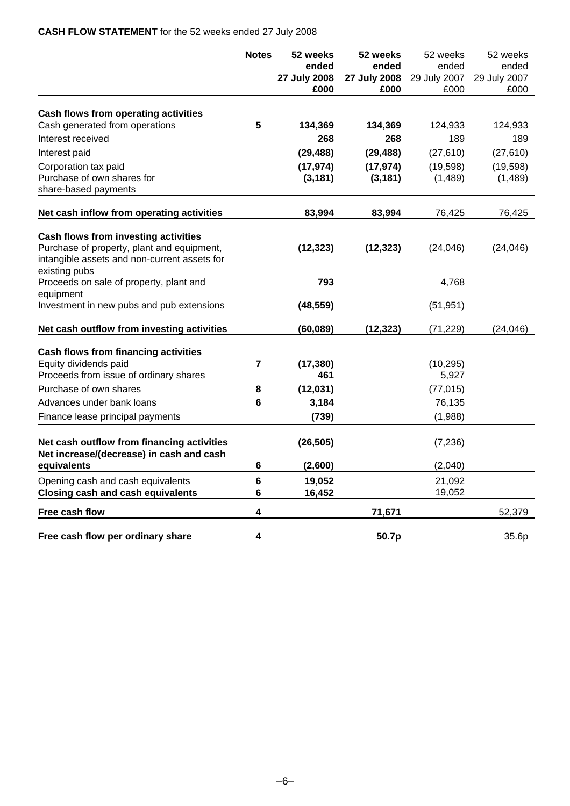# **CASH FLOW STATEMENT** for the 52 weeks ended 27 July 2008

|                                                                                                                                                            | <b>Notes</b> | 52 weeks<br>ended<br>27 July 2008<br>£000 | 52 weeks<br>ended<br>27 July 2008<br>£000 | 52 weeks<br>ended<br>29 July 2007<br>£000 | 52 weeks<br>ended<br>29 July 2007<br>£000 |
|------------------------------------------------------------------------------------------------------------------------------------------------------------|--------------|-------------------------------------------|-------------------------------------------|-------------------------------------------|-------------------------------------------|
| Cash flows from operating activities                                                                                                                       |              |                                           |                                           |                                           |                                           |
| Cash generated from operations                                                                                                                             | 5            | 134,369                                   | 134,369                                   | 124,933                                   | 124,933                                   |
| Interest received                                                                                                                                          |              | 268                                       | 268                                       | 189                                       | 189                                       |
| Interest paid                                                                                                                                              |              | (29, 488)                                 | (29, 488)                                 | (27, 610)                                 | (27, 610)                                 |
| Corporation tax paid                                                                                                                                       |              | (17, 974)                                 | (17, 974)                                 | (19, 598)                                 | (19, 598)                                 |
| Purchase of own shares for<br>share-based payments                                                                                                         |              | (3, 181)                                  | (3, 181)                                  | (1,489)                                   | (1,489)                                   |
| Net cash inflow from operating activities                                                                                                                  |              | 83,994                                    | 83,994                                    | 76,425                                    | 76,425                                    |
| <b>Cash flows from investing activities</b><br>Purchase of property, plant and equipment,<br>intangible assets and non-current assets for<br>existing pubs |              | (12, 323)                                 | (12, 323)                                 | (24, 046)                                 | (24, 046)                                 |
| Proceeds on sale of property, plant and                                                                                                                    |              | 793                                       |                                           | 4,768                                     |                                           |
| equipment<br>Investment in new pubs and pub extensions                                                                                                     |              | (48, 559)                                 |                                           | (51, 951)                                 |                                           |
| Net cash outflow from investing activities                                                                                                                 |              | (60, 089)                                 | (12, 323)                                 | (71, 229)                                 | (24, 046)                                 |
| <b>Cash flows from financing activities</b><br>Equity dividends paid<br>Proceeds from issue of ordinary shares                                             | 7            | (17, 380)<br>461                          |                                           | (10, 295)<br>5,927                        |                                           |
| Purchase of own shares                                                                                                                                     | 8            | (12, 031)                                 |                                           | (77, 015)                                 |                                           |
| Advances under bank loans                                                                                                                                  | 6            | 3,184                                     |                                           | 76,135                                    |                                           |
| Finance lease principal payments                                                                                                                           |              | (739)                                     |                                           | (1,988)                                   |                                           |
| Net cash outflow from financing activities                                                                                                                 |              | (26, 505)                                 |                                           | (7, 236)                                  |                                           |
| Net increase/(decrease) in cash and cash<br>equivalents                                                                                                    | 6            | (2,600)                                   |                                           | (2,040)                                   |                                           |
| Opening cash and cash equivalents                                                                                                                          | $\bf 6$      | 19,052                                    |                                           | 21,092                                    |                                           |
| <b>Closing cash and cash equivalents</b>                                                                                                                   | 6            | 16,452                                    |                                           | 19,052                                    |                                           |
| Free cash flow                                                                                                                                             | 4            |                                           | 71,671                                    |                                           | 52,379                                    |
| Free cash flow per ordinary share                                                                                                                          | 4            |                                           | 50.7p                                     |                                           | 35.6p                                     |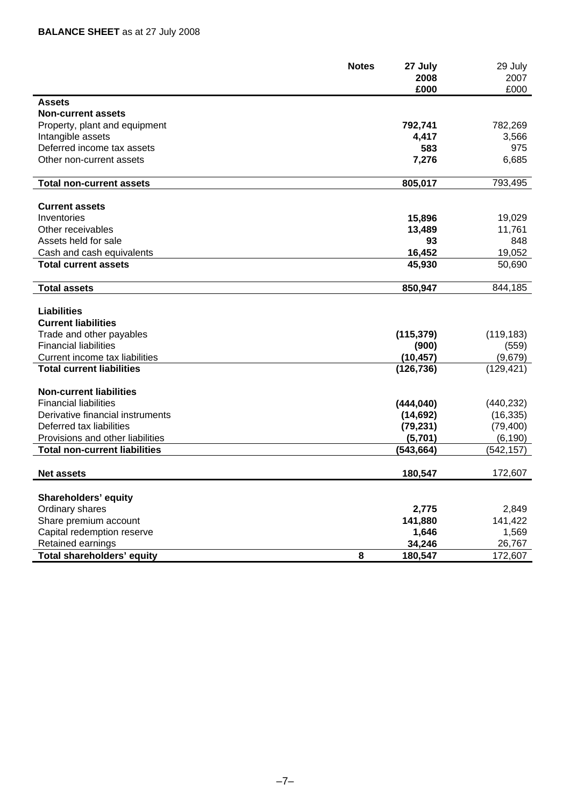|                                      | <b>Notes</b><br>27 July<br>2008 | 29 July<br>2007 |
|--------------------------------------|---------------------------------|-----------------|
|                                      | £000                            | £000            |
| <b>Assets</b>                        |                                 |                 |
| <b>Non-current assets</b>            |                                 |                 |
| Property, plant and equipment        | 792,741                         | 782,269         |
| Intangible assets                    | 4,417                           | 3,566           |
| Deferred income tax assets           | 583                             | 975             |
| Other non-current assets             | 7,276                           | 6,685           |
| <b>Total non-current assets</b>      | 805,017                         | 793,495         |
| <b>Current assets</b>                |                                 |                 |
| Inventories                          | 15,896                          | 19,029          |
| Other receivables                    | 13,489                          | 11,761          |
| Assets held for sale                 | 93                              | 848             |
| Cash and cash equivalents            | 16,452                          | 19,052          |
| <b>Total current assets</b>          | 45,930                          | 50,690          |
| <b>Total assets</b>                  | 850,947                         | 844,185         |
|                                      |                                 |                 |
| <b>Liabilities</b>                   |                                 |                 |
| <b>Current liabilities</b>           |                                 |                 |
| Trade and other payables             | (115, 379)                      | (119, 183)      |
| <b>Financial liabilities</b>         | (900)                           | (559)           |
| Current income tax liabilities       | (10, 457)                       | (9,679)         |
| <b>Total current liabilities</b>     | (126, 736)                      | (129, 421)      |
| <b>Non-current liabilities</b>       |                                 |                 |
| <b>Financial liabilities</b>         | (444, 040)                      | (440, 232)      |
| Derivative financial instruments     | (14, 692)                       | (16, 335)       |
| Deferred tax liabilities             | (79, 231)                       | (79, 400)       |
| Provisions and other liabilities     | (5,701)                         | (6, 190)        |
| <b>Total non-current liabilities</b> | (543,664)                       | (542, 157)      |
| <b>Net assets</b>                    | 180,547                         | 172,607         |
| <b>Shareholders' equity</b>          |                                 |                 |
| Ordinary shares                      | 2,775                           | 2,849           |
| Share premium account                | 141,880                         | 141,422         |
| Capital redemption reserve           | 1,646                           | 1,569           |
| Retained earnings                    | 34,246                          | 26,767          |
| Total shareholders' equity           | 8<br>180,547                    | 172,607         |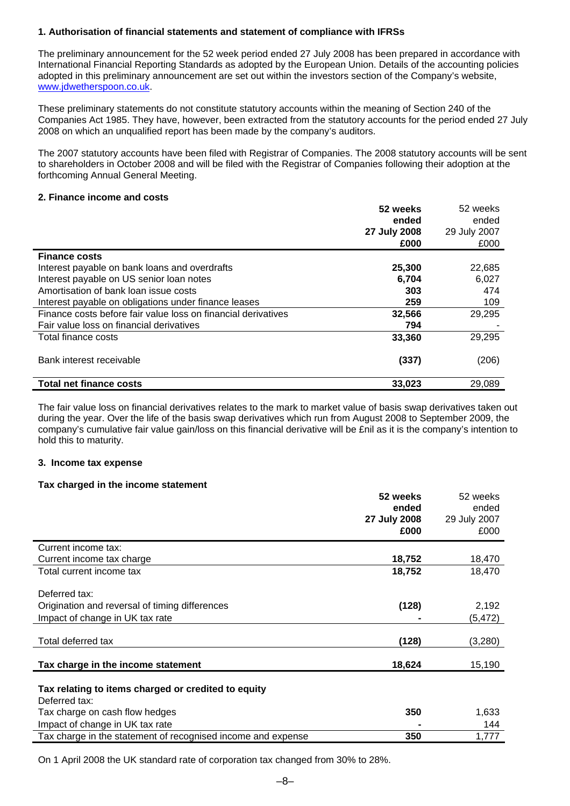## **1. Authorisation of financial statements and statement of compliance with IFRSs**

The preliminary announcement for the 52 week period ended 27 July 2008 has been prepared in accordance with International Financial Reporting Standards as adopted by the European Union. Details of the accounting policies adopted in this preliminary announcement are set out within the investors section of the Company's website, [www.jdwetherspoon.co.uk](http://www.jdwetherspoon.co.uk/).

These preliminary statements do not constitute statutory accounts within the meaning of Section 240 of the Companies Act 1985. They have, however, been extracted from the statutory accounts for the period ended 27 July 2008 on which an unqualified report has been made by the company's auditors.

The 2007 statutory accounts have been filed with Registrar of Companies. The 2008 statutory accounts will be sent to shareholders in October 2008 and will be filed with the Registrar of Companies following their adoption at the forthcoming Annual General Meeting.

#### **2. Finance income and costs**

|                                                               | 52 weeks     | 52 weeks     |
|---------------------------------------------------------------|--------------|--------------|
|                                                               | ended        | ended        |
|                                                               | 27 July 2008 | 29 July 2007 |
|                                                               | £000         | £000         |
| <b>Finance costs</b>                                          |              |              |
| Interest payable on bank loans and overdrafts                 | 25,300       | 22,685       |
| Interest payable on US senior loan notes                      | 6,704        | 6,027        |
| Amortisation of bank loan issue costs                         | 303          | 474          |
| Interest payable on obligations under finance leases          | 259          | 109          |
| Finance costs before fair value loss on financial derivatives | 32,566       | 29,295       |
| Fair value loss on financial derivatives                      | 794          |              |
| Total finance costs                                           | 33,360       | 29,295       |
| Bank interest receivable                                      | (337)        | (206)        |
| <b>Total net finance costs</b>                                | 33,023       | 29,089       |

The fair value loss on financial derivatives relates to the mark to market value of basis swap derivatives taken out during the year. Over the life of the basis swap derivatives which run from August 2008 to September 2009, the company's cumulative fair value gain/loss on this financial derivative will be £nil as it is the company's intention to hold this to maturity.

#### **3. Income tax expense**

#### **Tax charged in the income statement**

|                                                              | 52 weeks     | 52 weeks     |
|--------------------------------------------------------------|--------------|--------------|
|                                                              | ended        | ended        |
|                                                              | 27 July 2008 | 29 July 2007 |
|                                                              | £000         | £000         |
| Current income tax:                                          |              |              |
| Current income tax charge                                    | 18,752       | 18,470       |
| Total current income tax                                     | 18,752       | 18,470       |
|                                                              |              |              |
| Deferred tax:                                                |              |              |
| Origination and reversal of timing differences               | (128)        | 2,192        |
| Impact of change in UK tax rate                              |              | (5, 472)     |
|                                                              |              |              |
| Total deferred tax                                           | (128)        | (3,280)      |
|                                                              |              |              |
| Tax charge in the income statement                           | 18,624       | 15,190       |
|                                                              |              |              |
| Tax relating to items charged or credited to equity          |              |              |
| Deferred tax:                                                |              |              |
| Tax charge on cash flow hedges                               | 350          | 1,633        |
| Impact of change in UK tax rate                              |              | 144          |
| Tax charge in the statement of recognised income and expense | 350          | 1,777        |

On 1 April 2008 the UK standard rate of corporation tax changed from 30% to 28%.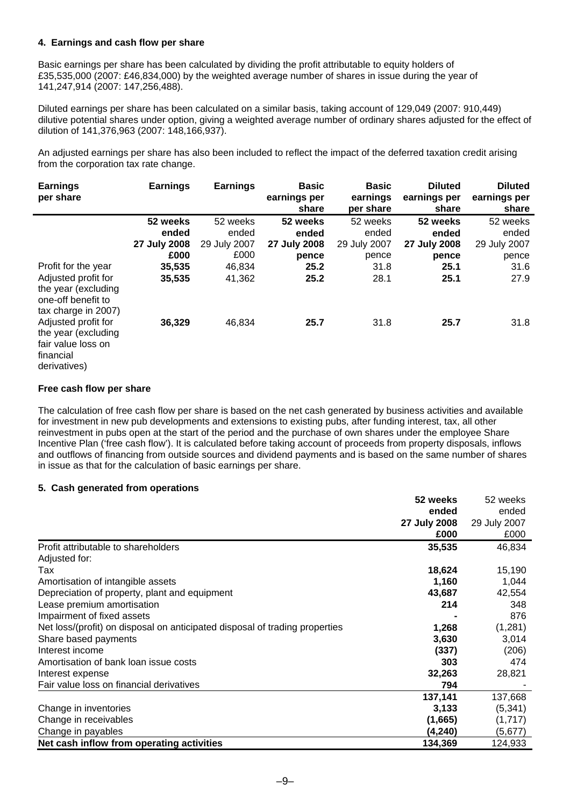# **4. Earnings and cash flow per share**

Basic earnings per share has been calculated by dividing the profit attributable to equity holders of £35,535,000 (2007: £46,834,000) by the weighted average number of shares in issue during the year of 141,247,914 (2007: 147,256,488).

Diluted earnings per share has been calculated on a similar basis, taking account of 129,049 (2007: 910,449) dilutive potential shares under option, giving a weighted average number of ordinary shares adjusted for the effect of dilution of 141,376,963 (2007: 148,166,937).

An adjusted earnings per share has also been included to reflect the impact of the deferred taxation credit arising from the corporation tax rate change.

| <b>Earnings</b><br>per share                                                            | <b>Earnings</b> | <b>Earnings</b> | <b>Basic</b><br>earnings per<br>share | <b>Basic</b><br>earnings<br>per share | <b>Diluted</b><br>earnings per<br>share | <b>Diluted</b><br>earnings per<br>share |
|-----------------------------------------------------------------------------------------|-----------------|-----------------|---------------------------------------|---------------------------------------|-----------------------------------------|-----------------------------------------|
|                                                                                         | 52 weeks        | 52 weeks        | 52 weeks                              | 52 weeks                              | 52 weeks                                | 52 weeks                                |
|                                                                                         | ended           | ended           | ended                                 | ended                                 | ended                                   | ended                                   |
|                                                                                         | 27 July 2008    | 29 July 2007    | 27 July 2008                          | 29 July 2007                          | 27 July 2008                            | 29 July 2007                            |
|                                                                                         | £000            | £000            | pence                                 | pence                                 | pence                                   | pence                                   |
| Profit for the year                                                                     | 35,535          | 46,834          | 25.2                                  | 31.8                                  | 25.1                                    | 31.6                                    |
| Adjusted profit for                                                                     | 35,535          | 41,362          | 25.2                                  | 28.1                                  | 25.1                                    | 27.9                                    |
| the year (excluding<br>one-off benefit to<br>tax charge in 2007)<br>Adjusted profit for | 36,329          | 46,834          | 25.7                                  | 31.8                                  | 25.7                                    | 31.8                                    |
| the year (excluding<br>fair value loss on<br>financial<br>derivatives)                  |                 |                 |                                       |                                       |                                         |                                         |

#### **Free cash flow per share**

The calculation of free cash flow per share is based on the net cash generated by business activities and available for investment in new pub developments and extensions to existing pubs, after funding interest, tax, all other reinvestment in pubs open at the start of the period and the purchase of own shares under the employee Share Incentive Plan ('free cash flow'). It is calculated before taking account of proceeds from property disposals, inflows and outflows of financing from outside sources and dividend payments and is based on the same number of shares in issue as that for the calculation of basic earnings per share.

## **5. Cash generated from operations**

|                                                                             | 52 weeks     | 52 weeks     |
|-----------------------------------------------------------------------------|--------------|--------------|
|                                                                             | ended        | ended        |
|                                                                             | 27 July 2008 | 29 July 2007 |
|                                                                             | £000         | £000         |
| Profit attributable to shareholders                                         | 35,535       | 46,834       |
| Adjusted for:                                                               |              |              |
| Tax                                                                         | 18,624       | 15,190       |
| Amortisation of intangible assets                                           | 1,160        | 1,044        |
| Depreciation of property, plant and equipment                               | 43,687       | 42,554       |
| Lease premium amortisation                                                  | 214          | 348          |
| Impairment of fixed assets                                                  |              | 876          |
| Net loss/(profit) on disposal on anticipated disposal of trading properties | 1,268        | (1,281)      |
| Share based payments                                                        | 3,630        | 3,014        |
| Interest income                                                             | (337)        | (206)        |
| Amortisation of bank loan issue costs                                       | 303          | 474          |
| Interest expense                                                            | 32,263       | 28,821       |
| Fair value loss on financial derivatives                                    | 794          |              |
|                                                                             | 137,141      | 137,668      |
| Change in inventories                                                       | 3,133        | (5, 341)     |
| Change in receivables                                                       | (1,665)      | (1,717)      |
| Change in payables                                                          | (4,240)      | (5,677)      |
| Net cash inflow from operating activities                                   | 134,369      | 124,933      |